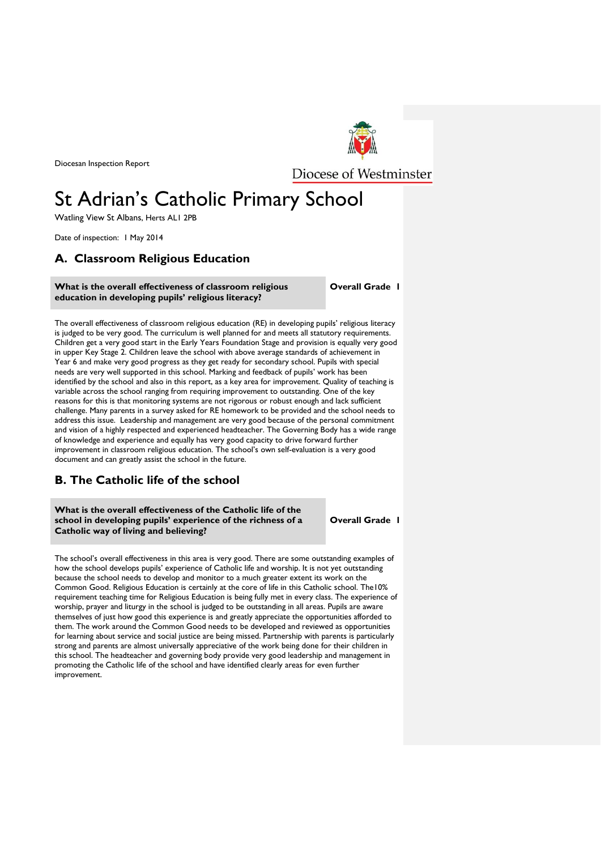Diocesan Inspection Report



Diocese of Westminster

# St Adrian's Catholic Primary School

Watling View St Albans, Herts AL1 2PB

Date of inspection: 1 May 2014

# **A. Classroom Religious Education**

# **What is the overall effectiveness of classroom religious education in developing pupils' religious literacy?**

**Overall Grade 1**

The overall effectiveness of classroom religious education (RE) in developing pupils' religious literacy is judged to be very good. The curriculum is well planned for and meets all statutory requirements. Children get a very good start in the Early Years Foundation Stage and provision is equally very good in upper Key Stage 2. Children leave the school with above average standards of achievement in Year 6 and make very good progress as they get ready for secondary school. Pupils with special needs are very well supported in this school. Marking and feedback of pupils' work has been identified by the school and also in this report, as a key area for improvement. Quality of teaching is variable across the school ranging from requiring improvement to outstanding. One of the key reasons for this is that monitoring systems are not rigorous or robust enough and lack sufficient challenge. Many parents in a survey asked for RE homework to be provided and the school needs to address this issue. Leadership and management are very good because of the personal commitment and vision of a highly respected and experienced headteacher. The Governing Body has a wide range of knowledge and experience and equally has very good capacity to drive forward further improvement in classroom religious education. The school's own self-evaluation is a very good document and can greatly assist the school in the future.

# **B. The Catholic life of the school**

**What is the overall effectiveness of the Catholic life of the school in developing pupils' experience of the richness of a Catholic way of living and believing?**

**Overall Grade 1**

The school's overall effectiveness in this area is very good. There are some outstanding examples of how the school develops pupils' experience of Catholic life and worship. It is not yet outstanding because the school needs to develop and monitor to a much greater extent its work on the Common Good. Religious Education is certainly at the core of life in this Catholic school. The10% requirement teaching time for Religious Education is being fully met in every class. The experience of worship, prayer and liturgy in the school is judged to be outstanding in all areas. Pupils are aware themselves of just how good this experience is and greatly appreciate the opportunities afforded to them. The work around the Common Good needs to be developed and reviewed as opportunities for learning about service and social justice are being missed. Partnership with parents is particularly strong and parents are almost universally appreciative of the work being done for their children in this school. The headteacher and governing body provide very good leadership and management in promoting the Catholic life of the school and have identified clearly areas for even further improvement.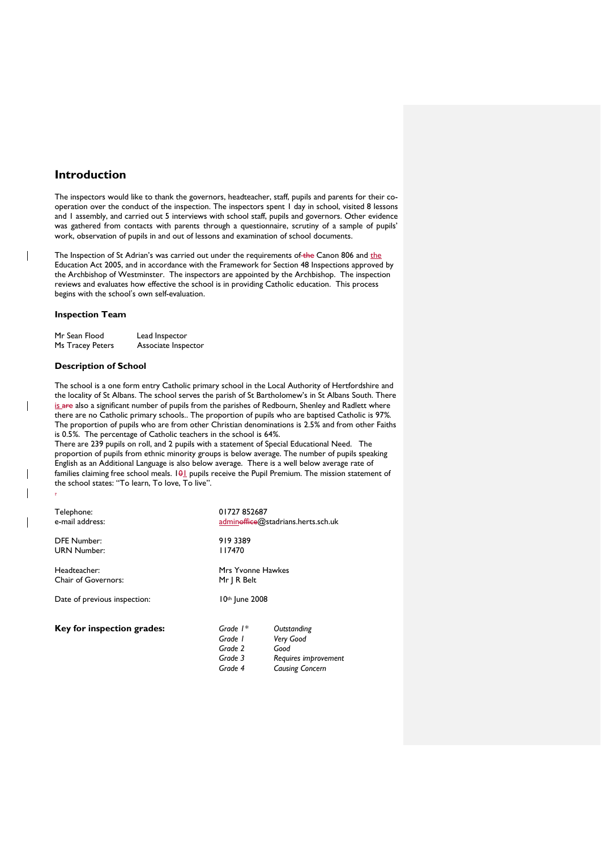# **Introduction**

The inspectors would like to thank the governors, headteacher, staff, pupils and parents for their cooperation over the conduct of the inspection. The inspectors spent 1 day in school, visited 8 lessons and 1 assembly, and carried out 5 interviews with school staff, pupils and governors. Other evidence was gathered from contacts with parents through a questionnaire, scrutiny of a sample of pupils' work, observation of pupils in and out of lessons and examination of school documents.

The Inspection of St Adrian's was carried out under the requirements of the Canon 806 and the Education Act 2005, and in accordance with the Framework for Section 48 Inspections approved by the Archbishop of Westminster. The inspectors are appointed by the Archbishop. The inspection reviews and evaluates how effective the school is in providing Catholic education. This process begins with the school's own self-evaluation.

# **Inspection Team**

| Mr Sean Flood    | Lead Inspector      |  |
|------------------|---------------------|--|
| Ms Tracey Peters | Associate Inspector |  |

# **Description of School**

 $\overline{\phantom{a}}$ 

The school is a one form entry Catholic primary school in the Local Authority of Hertfordshire and the locality of St Albans. The school serves the parish of St Bartholomew's in St Albans South. There is are also a significant number of pupils from the parishes of Redbourn, Shenley and Radlett where there are no Catholic primary schools.. The proportion of pupils who are baptised Catholic is 97*%.*  The proportion of pupils who are from other Christian denominations is 2.5*%* and from other Faiths is 0.5*%*. The percentage of Catholic teachers in the school is 64*%*.

There are 239 pupils on roll, and 2 pupils with a statement of Special Educational Need. The proportion of pupils from ethnic minority groups is below average. The number of pupils speaking English as an Additional Language is also below average.There is a well below average rate of families claiming free school meals. 101 pupils receive the Pupil Premium. The mission statement of the school states: "To learn, To love, To live". .

| Telephone:                   | 01727852687                                            |                                                                                    |
|------------------------------|--------------------------------------------------------|------------------------------------------------------------------------------------|
| e-mail address:              | admin <del>office</del> @stadrians.herts.sch.uk        |                                                                                    |
| <b>DFE Number:</b>           | 9193389                                                |                                                                                    |
| <b>URN Number:</b>           | 117470                                                 |                                                                                    |
| Headteacher:                 | Mrs Yvonne Hawkes                                      |                                                                                    |
| Chair of Governors:          | Mr   R Belt                                            |                                                                                    |
| Date of previous inspection: | 10th June 2008                                         |                                                                                    |
| Key for inspection grades:   | Grade $1*$<br>Grade 1<br>Grade 2<br>Grade 3<br>Grade 4 | Outstanding<br>Very Good<br>Good<br>Requires improvement<br><b>Causing Concern</b> |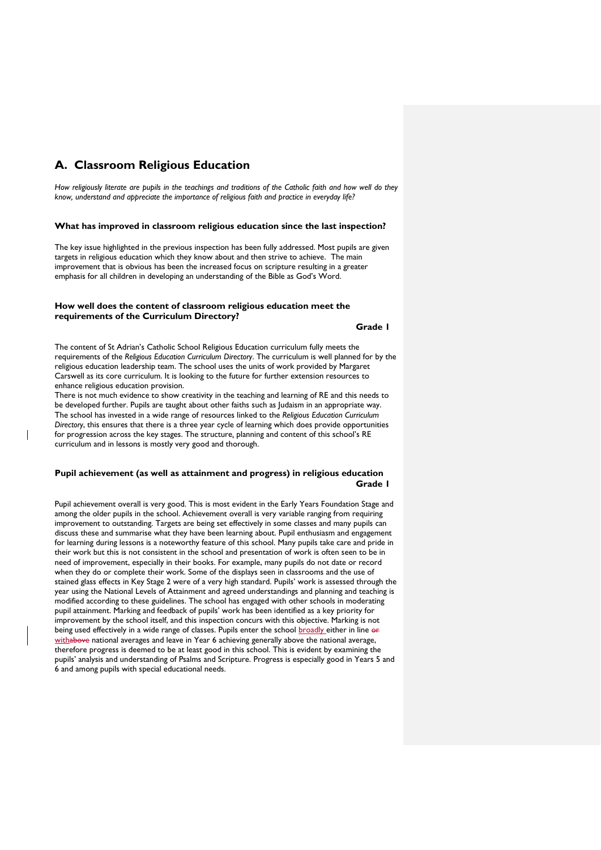# **A. Classroom Religious Education**

*How religiously literate are pupils in the teachings and traditions of the Catholic faith and how well do they know, understand and appreciate the importance of religious faith and practice in everyday life?*

## **What has improved in classroom religious education since the last inspection?**

The key issue highlighted in the previous inspection has been fully addressed. Most pupils are given targets in religious education which they know about and then strive to achieve. The main improvement that is obvious has been the increased focus on scripture resulting in a greater emphasis for all children in developing an understanding of the Bible as God's Word.

# **How well does the content of classroom religious education meet the requirements of the Curriculum Directory?**

# **Grade 1**

The content of St Adrian's Catholic School Religious Education curriculum fully meets the requirements of the *Religious Education Curriculum Directory*. The curriculum is well planned for by the religious education leadership team. The school uses the units of work provided by Margaret Carswell as its core curriculum. It is looking to the future for further extension resources to enhance religious education provision.

There is not much evidence to show creativity in the teaching and learning of RE and this needs to be developed further. Pupils are taught about other faiths such as Judaism in an appropriate way. The school has invested in a wide range of resources linked to the *Religious Education Curriculum Directory*, this ensures that there is a three year cycle of learning which does provide opportunities for progression across the key stages. The structure, planning and content of this school's RE curriculum and in lessons is mostly very good and thorough.

# **Pupil achievement (as well as attainment and progress) in religious education** *Grade 1* **Grade 1**

Pupil achievement overall is very good. This is most evident in the Early Years Foundation Stage and among the older pupils in the school. Achievement overall is very variable ranging from requiring improvement to outstanding. Targets are being set effectively in some classes and many pupils can discuss these and summarise what they have been learning about. Pupil enthusiasm and engagement for learning during lessons is a noteworthy feature of this school. Many pupils take care and pride in their work but this is not consistent in the school and presentation of work is often seen to be in need of improvement, especially in their books. For example, many pupils do not date or record when they do or complete their work. Some of the displays seen in classrooms and the use of stained glass effects in Key Stage 2 were of a very high standard. Pupils' work is assessed through the year using the National Levels of Attainment and agreed understandings and planning and teaching is modified according to these guidelines. The school has engaged with other schools in moderating pupil attainment. Marking and feedback of pupils' work has been identified as a key priority for improvement by the school itself, and this inspection concurs with this objective. Marking is not being used effectively in a wide range of classes. Pupils enter the school broadly either in line or withabove national averages and leave in Year 6 achieving generally above the national average, therefore progress is deemed to be at least good in this school. This is evident by examining the pupils' analysis and understanding of Psalms and Scripture. Progress is especially good in Years 5 and 6 and among pupils with special educational needs.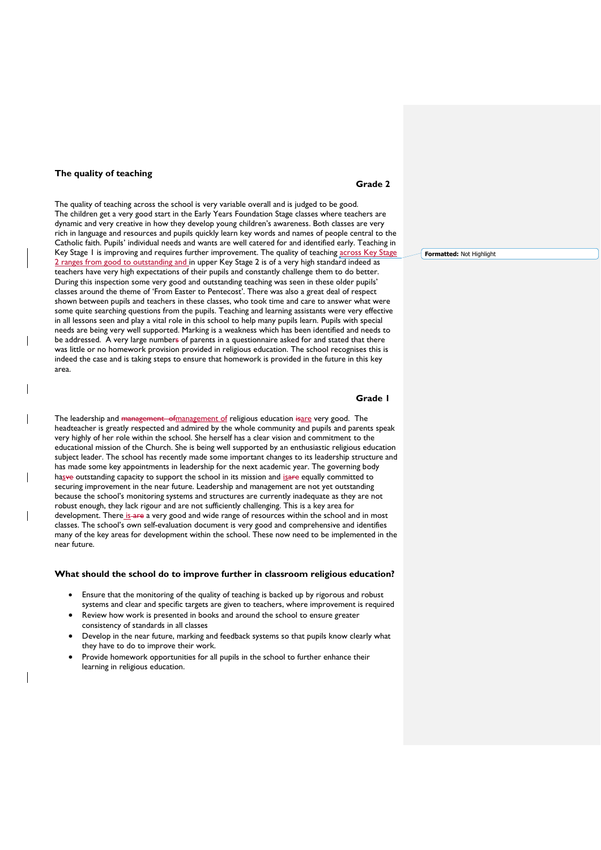## **The quality of teaching**

 $\overline{\phantom{a}}$ 

 $\overline{\phantom{a}}$ 

The quality of teaching across the school is very variable overall and is judged to be good. The children get a very good start in the Early Years Foundation Stage classes where teachers are dynamic and very creative in how they develop young children's awareness. Both classes are very rich in language and resources and pupils quickly learn key words and names of people central to the Catholic faith. Pupils' individual needs and wants are well catered for and identified early. Teaching in Key Stage 1 is improving and requires further improvement. The quality of teaching across Key Stage 2 ranges from good to outstanding and in upper Key Stage 2 is of a very high standard indeed as teachers have very high expectations of their pupils and constantly challenge them to do better. During this inspection some very good and outstanding teaching was seen in these older pupils' classes around the theme of 'From Easter to Pentecost'. There was also a great deal of respect shown between pupils and teachers in these classes, who took time and care to answer what were some quite searching questions from the pupils. Teaching and learning assistants were very effective in all lessons seen and play a vital role in this school to help many pupils learn. Pupils with special needs are being very well supported. Marking is a weakness which has been identified and needs to be addressed. A very large numbers of parents in a questionnaire asked for and stated that there was little or no homework provision provided in religious education. The school recognises this is indeed the case and is taking steps to ensure that homework is provided in the future in this key area.

**Grade 1**

The leadership and management of management of religious education isare very good. The headteacher is greatly respected and admired by the whole community and pupils and parents speak very highly of her role within the school. She herself has a clear vision and commitment to the educational mission of the Church. She is being well supported by an enthusiastic religious education subject leader. The school has recently made some important changes to its leadership structure and has made some key appointments in leadership for the next academic year. The governing body hasve outstanding capacity to support the school in its mission and isare equally committed to securing improvement in the near future. Leadership and management are not yet outstanding because the school's monitoring systems and structures are currently inadequate as they are not robust enough, they lack rigour and are not sufficiently challenging. This is a key area for development. There is are a very good and wide range of resources within the school and in most classes. The school's own self-evaluation document is very good and comprehensive and identifies many of the key areas for development within the school. These now need to be implemented in the near future.

#### **What should the school do to improve further in classroom religious education?**

- Ensure that the monitoring of the quality of teaching is backed up by rigorous and robust
- systems and clear and specific targets are given to teachers, where improvement is required Review how work is presented in books and around the school to ensure greater
- consistency of standards in all classes
- Develop in the near future, marking and feedback systems so that pupils know clearly what they have to do to improve their work.
- Provide homework opportunities for all pupils in the school to further enhance their learning in religious education.

**Grade 2**

**Formatted:** Not Highlight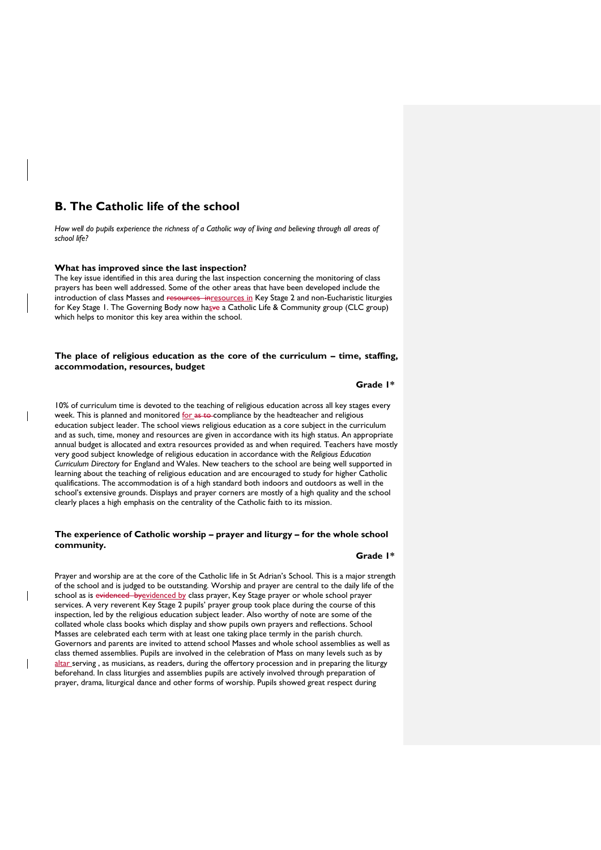# **B. The Catholic life of the school**

*How well do pupils experience the richness of a Catholic way of living and believing through all areas of school life?*

#### **What has improved since the last inspection?**

The key issue identified in this area during the last inspection concerning the monitoring of class prayers has been well addressed. Some of the other areas that have been developed include the introduction of class Masses and resources inresources in Key Stage 2 and non-Eucharistic liturgies for Key Stage 1. The Governing Body now hasve a Catholic Life & Community group (CLC group) which helps to monitor this key area within the school.

# **The place of religious education as the core of the curriculum – time, staffing, accommodation, resources, budget**

**Grade 1\***

10% of curriculum time is devoted to the teaching of religious education across all key stages every week. This is planned and monitored for as to compliance by the headteacher and religious education subject leader. The school views religious education as a core subject in the curriculum and as such, time, money and resources are given in accordance with its high status. An appropriate annual budget is allocated and extra resources provided as and when required. Teachers have mostly very good subject knowledge of religious education in accordance with the *Religious Education Curriculum Directory* for England and Wales. New teachers to the school are being well supported in learning about the teaching of religious education and are encouraged to study for higher Catholic qualifications. The accommodation is of a high standard both indoors and outdoors as well in the school's extensive grounds. Displays and prayer corners are mostly of a high quality and the school clearly places a high emphasis on the centrality of the Catholic faith to its mission.

# **The experience of Catholic worship – prayer and liturgy – for the whole school community.**

#### **Grade 1\***

Prayer and worship are at the core of the Catholic life in St Adrian's School. This is a major strength of the school and is judged to be outstanding. Worship and prayer are central to the daily life of the school as is evidenced by evidenced by class prayer, Key Stage prayer or whole school prayer services. A very reverent Key Stage 2 pupils' prayer group took place during the course of this inspection, led by the religious education subject leader. Also worthy of note are some of the collated whole class books which display and show pupils own prayers and reflections. School Masses are celebrated each term with at least one taking place termly in the parish church. Governors and parents are invited to attend school Masses and whole school assemblies as well as class themed assemblies. Pupils are involved in the celebration of Mass on many levels such as by altar serving, as musicians, as readers, during the offertory procession and in preparing the liturgy beforehand. In class liturgies and assemblies pupils are actively involved through preparation of prayer, drama, liturgical dance and other forms of worship. Pupils showed great respect during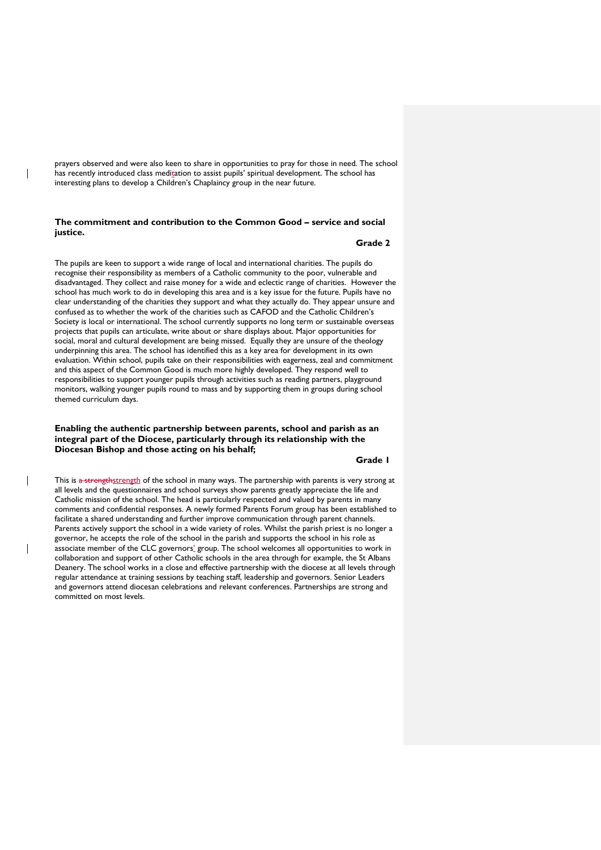prayers observed and were also keen to share in opportunities to pray for those in need. The school has recently introduced class meditation to assist pupils' spiritual development. The school has interesting plans to develop a Children's Chaplaincy group in the near future.

 $\overline{\phantom{a}}$ 

 $\overline{\phantom{a}}$ 

 $\overline{\phantom{a}}$ 

# **The commitment and contribution to the Common Good – service and social justice.**

## **Grade 2**

The pupils are keen to support a wide range of local and international charities. The pupils do recognise their responsibility as members of a Catholic community to the poor, vulnerable and disadvantaged. They collect and raise money for a wide and eclectic range of charities. However the school has much work to do in developing this area and is a key issue for the future. Pupils have no clear understanding of the charities they support and what they actually do. They appear unsure and confused as to whether the work of the charities such as CAFOD and the Catholic Children's Society is local or international. The school currently supports no long term or sustainable overseas projects that pupils can articulate, write about or share displays about. Major opportunities for social, moral and cultural development are being missed. Equally they are unsure of the theology underpinning this area. The school has identified this as a key area for development in its own evaluation. Within school, pupils take on their responsibilities with eagerness, zeal and commitment and this aspect of the Common Good is much more highly developed. They respond well to responsibilities to support younger pupils through activities such as reading partners, playground monitors, walking younger pupils round to mass and by supporting them in groups during school themed curriculum days.

## **Enabling the authentic partnership between parents, school and parish as an integral part of the Diocese, particularly through its relationship with the Diocesan Bishop and those acting on his behalf;**

# **Grade 1**

This is a strengthstrength of the school in many ways. The partnership with parents is very strong at all levels and the questionnaires and school surveys show parents greatly appreciate the life and Catholic mission of the school. The head is particularly respected and valued by parents in many comments and confidential responses. A newly formed Parents Forum group has been established to facilitate a shared understanding and further improve communication through parent channels. Parents actively support the school in a wide variety of roles. Whilst the parish priest is no longer a governor, he accepts the role of the school in the parish and supports the school in his role as associate member of the CLC governors' group. The school welcomes all opportunities to work in collaboration and support of other Catholic schools in the area through for example, the St Albans Deanery. The school works in a close and effective partnership with the diocese at all levels through regular attendance at training sessions by teaching staff, leadership and governors. Senior Leaders and governors attend diocesan celebrations and relevant conferences. Partnerships are strong and committed on most levels.